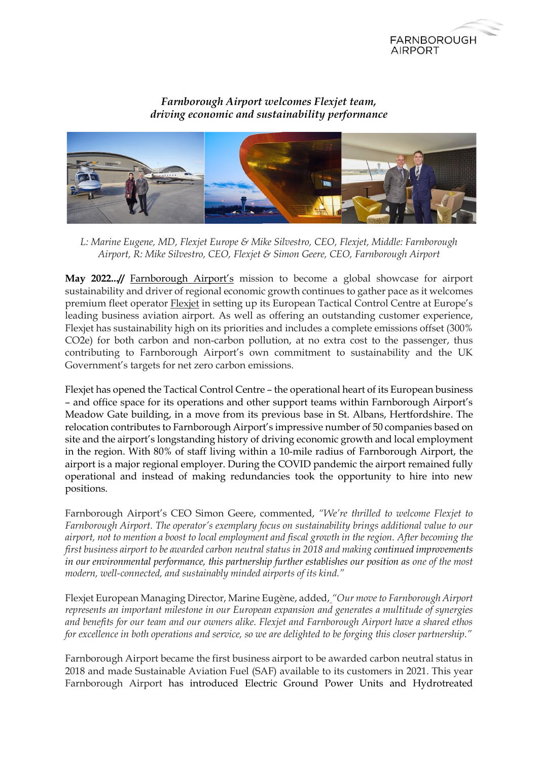

## *Farnborough Airport welcomes Flexjet team, driving economic and sustainability performance*



*L: Marine Eugene, MD, Flexjet Europe & Mike Silvestro, CEO, Flexjet, Middle: Farnborough Airport, R: Mike Silvestro, CEO, Flexjet & Simon Geere, CEO, Farnborough Airport*

**May 2022...//** [Farnborough Airport](https://www.farnboroughairport.com/)'s mission to become a global showcase for airport sustainability and driver of regional economic growth continues to gather pace as it welcomes premium fleet operator [Flexjet](https://www.flexjet.com/uk/) in setting up its European Tactical Control Centre at Europe's leading business aviation airport. As well as offering an outstanding customer experience, Flexjet has sustainability high on its priorities and includes a complete emissions offset (300% CO2e) for both carbon and non-carbon pollution, at no extra cost to the passenger, thus contributing to Farnborough Airport's own commitment to sustainability and the UK Government's targets for net zero carbon emissions.

Flexjet has opened the Tactical Control Centre – the operational heart of its European business – and office space for its operations and other support teams within Farnborough Airport's Meadow Gate building, in a move from its previous base in St. Albans, Hertfordshire. The relocation contributes to Farnborough Airport's impressive number of 50 companies based on site and the airport's longstanding history of driving economic growth and local employment in the region. With 80% of staff living within a 10-mile radius of Farnborough Airport, the airport is a major regional employer. During the COVID pandemic the airport remained fully operational and instead of making redundancies took the opportunity to hire into new positions.

Farnborough Airport's CEO Simon Geere, commented, *"We're thrilled to welcome Flexjet to Farnborough Airport. The operator's exemplary focus on sustainability brings additional value to our airport, not to mention a boost to local employment and fiscal growth in the region. After becoming the first business airport to be awarded carbon neutral status in 2018 and making continued improvements in our environmental performance, this partnership further establishes our position as one of the most modern, well-connected, and sustainably minded airports of its kind."*

Flexjet European Managing Director, Marine Eugène, added, *"Our move to Farnborough Airport represents an important milestone in our European expansion and generates a multitude of synergies and benefits for our team and our owners alike. Flexjet and Farnborough Airport have a shared ethos for excellence in both operations and service, so we are delighted to be forging this closer partnership."*

Farnborough Airport became the first business airport to be awarded carbon neutral status in 2018 and made Sustainable Aviation Fuel (SAF) available to its customers in 2021. This year Farnborough Airport has introduced Electric Ground Power Units and Hydrotreated